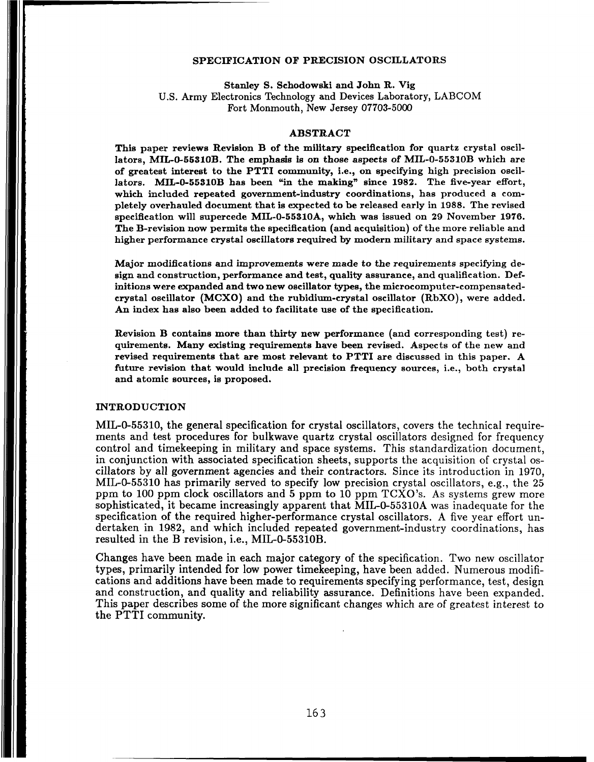## SPECIFICATION OF PRECISION OSCILLATORS

Stanley S. Schodowski and John R. Vig U.S. Army Electronics Technology and Devices Laboratory, LABCOM Fort Monmouth, New Jersey **07703-5000** 

## ABSTRACT

This paper reviews Revision B of the military specification for quartz crystal oscillators, MIL-0-55310B. The emphasis is on those aspects of MIL-0-55310B which are of greatest interest to the PTTI community, i.e., on specifying high precision oscillators. MIL-0-55310B has been "in the making" since 1982. The five-year effort, which included repeated government-industry coordinations, has produced a completely overhauled document that is expected to be released early in 1988. The revised specification will supercede MIL-0-55310A, which was issued on 29 November 1976. The B-revision now permits the specification (and acquisition) of the more reliable and higher performance crystal oscillators required by modern military and space systems.

Major modifications and improvements were made to the requirements specifying design and construction, performance and test, quality assurance, and qualification. Definitions were expanded and two new oscillator types, the microcomputer-compensatedcrystal oscillator (MCXO) and the rubidium-crystal oscillator (RbXO), were added. An index has also been added to facilitate use of the specification.

Revision B contains more than thirty new performance (and corresponding test) requirements. Many existing requirements have been revised. Aspects of the new and revised requirements that are most relevant to PTTI are discussed in this paper. A future revision that would include all precision frequency sources, i.e., both crystal and atomic sources, is proposed.

#### INTRODUCTION

MIL-0-55310, the general specification for crystal oscillators, covers the technical requirements and test procedures for bulkwave quartz crystal oscillators designed for frequency control and timekeeping in military and space systems. This standardization document, in conjunction with associated specification sheets, supports the acquisition of crystal oscillators by all government agencies and their contractors. Since its introduction in 1970, MIL-0-55310 has primarily served to specify low precision crystal oscillators, e.g., the 25 ppm to 100 ppm clock oscillators and 5 ppm to 10 ppm TCXO's. As systems grew more sophisticated, it became increasingly apparent that MIL-0-55310A was inadequate for the specification of the required higher-performance crystal oscillators. A five year effort undertaken in 1982, and which included repeated government-industry coordinations, has resulted in the B revision, i.e., MIL-0-55310B.

Changes have been made in each major category of the specification. Two new oscillator types, primarily intended for low power timekeeping, have been added. Numerous modifications and additions have been made to requirements specifying performance, test, design and construction, and quality and reliability assurance. Definitions have been expanded. This paper describes some of the more significant changes which are of greatest interest to the **PTTI** community.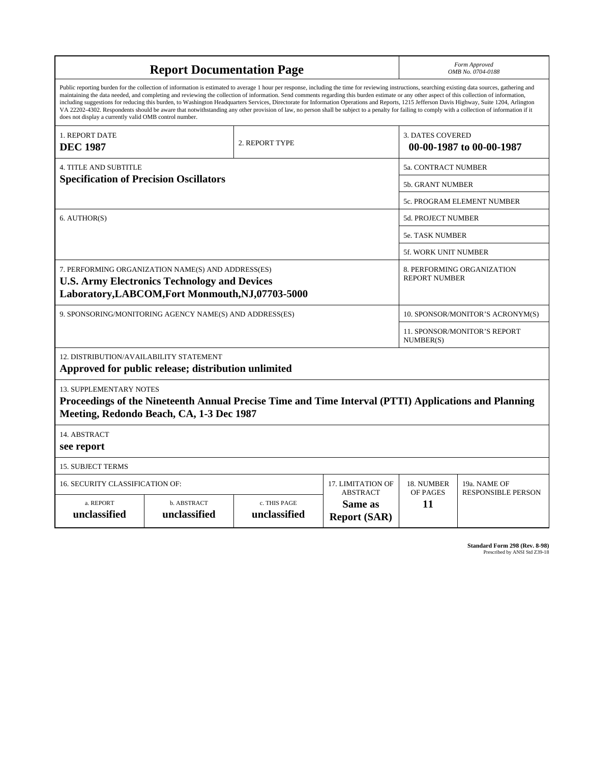|                                                                                                                                                                | Form Approved<br>OMB No. 0704-0188                                                                                                                                                                                                                                                                                                                                                                                                                                                                                                                                                                                                                                                                                                                                                                       |                                      |                                |                                                     |                                                    |  |  |
|----------------------------------------------------------------------------------------------------------------------------------------------------------------|----------------------------------------------------------------------------------------------------------------------------------------------------------------------------------------------------------------------------------------------------------------------------------------------------------------------------------------------------------------------------------------------------------------------------------------------------------------------------------------------------------------------------------------------------------------------------------------------------------------------------------------------------------------------------------------------------------------------------------------------------------------------------------------------------------|--------------------------------------|--------------------------------|-----------------------------------------------------|----------------------------------------------------|--|--|
| does not display a currently valid OMB control number.                                                                                                         | Public reporting burden for the collection of information is estimated to average 1 hour per response, including the time for reviewing instructions, searching existing data sources, gathering and<br>maintaining the data needed, and completing and reviewing the collection of information. Send comments regarding this burden estimate or any other aspect of this collection of information,<br>including suggestions for reducing this burden, to Washington Headquarters Services, Directorate for Information Operations and Reports, 1215 Jefferson Davis Highway, Suite 1204, Arlington<br>VA 22202-4302. Respondents should be aware that notwithstanding any other provision of law, no person shall be subject to a penalty for failing to comply with a collection of information if it |                                      |                                |                                                     |                                                    |  |  |
| 1. REPORT DATE<br><b>DEC 1987</b>                                                                                                                              |                                                                                                                                                                                                                                                                                                                                                                                                                                                                                                                                                                                                                                                                                                                                                                                                          | 2. REPORT TYPE                       |                                | <b>3. DATES COVERED</b><br>00-00-1987 to 00-00-1987 |                                                    |  |  |
| <b>4. TITLE AND SUBTITLE</b>                                                                                                                                   |                                                                                                                                                                                                                                                                                                                                                                                                                                                                                                                                                                                                                                                                                                                                                                                                          | <b>5a. CONTRACT NUMBER</b>           |                                |                                                     |                                                    |  |  |
| <b>Specification of Precision Oscillators</b>                                                                                                                  |                                                                                                                                                                                                                                                                                                                                                                                                                                                                                                                                                                                                                                                                                                                                                                                                          |                                      |                                |                                                     | 5b. GRANT NUMBER                                   |  |  |
|                                                                                                                                                                |                                                                                                                                                                                                                                                                                                                                                                                                                                                                                                                                                                                                                                                                                                                                                                                                          |                                      |                                |                                                     | 5c. PROGRAM ELEMENT NUMBER                         |  |  |
| 6. AUTHOR(S)                                                                                                                                                   |                                                                                                                                                                                                                                                                                                                                                                                                                                                                                                                                                                                                                                                                                                                                                                                                          |                                      |                                |                                                     | 5d. PROJECT NUMBER                                 |  |  |
|                                                                                                                                                                |                                                                                                                                                                                                                                                                                                                                                                                                                                                                                                                                                                                                                                                                                                                                                                                                          |                                      |                                |                                                     | <b>5e. TASK NUMBER</b>                             |  |  |
|                                                                                                                                                                |                                                                                                                                                                                                                                                                                                                                                                                                                                                                                                                                                                                                                                                                                                                                                                                                          |                                      |                                |                                                     | 5f. WORK UNIT NUMBER                               |  |  |
| 7. PERFORMING ORGANIZATION NAME(S) AND ADDRESS(ES)<br><b>U.S. Army Electronics Technology and Devices</b><br>Laboratory, LABCOM, Fort Monmouth, NJ, 07703-5000 |                                                                                                                                                                                                                                                                                                                                                                                                                                                                                                                                                                                                                                                                                                                                                                                                          |                                      |                                |                                                     | 8. PERFORMING ORGANIZATION<br><b>REPORT NUMBER</b> |  |  |
| 9. SPONSORING/MONITORING AGENCY NAME(S) AND ADDRESS(ES)                                                                                                        |                                                                                                                                                                                                                                                                                                                                                                                                                                                                                                                                                                                                                                                                                                                                                                                                          |                                      |                                |                                                     | 10. SPONSOR/MONITOR'S ACRONYM(S)                   |  |  |
|                                                                                                                                                                |                                                                                                                                                                                                                                                                                                                                                                                                                                                                                                                                                                                                                                                                                                                                                                                                          |                                      |                                |                                                     | 11. SPONSOR/MONITOR'S REPORT<br>NUMBER(S)          |  |  |
| 12. DISTRIBUTION/AVAILABILITY STATEMENT<br>Approved for public release; distribution unlimited                                                                 |                                                                                                                                                                                                                                                                                                                                                                                                                                                                                                                                                                                                                                                                                                                                                                                                          |                                      |                                |                                                     |                                                    |  |  |
| <b>13. SUPPLEMENTARY NOTES</b>                                                                                                                                 | Proceedings of the Nineteenth Annual Precise Time and Time Interval (PTTI) Applications and Planning<br>Meeting, Redondo Beach, CA, 1-3 Dec 1987                                                                                                                                                                                                                                                                                                                                                                                                                                                                                                                                                                                                                                                         |                                      |                                |                                                     |                                                    |  |  |
| 14. ABSTRACT<br>see report                                                                                                                                     |                                                                                                                                                                                                                                                                                                                                                                                                                                                                                                                                                                                                                                                                                                                                                                                                          |                                      |                                |                                                     |                                                    |  |  |
| <b>15. SUBJECT TERMS</b>                                                                                                                                       |                                                                                                                                                                                                                                                                                                                                                                                                                                                                                                                                                                                                                                                                                                                                                                                                          |                                      |                                |                                                     |                                                    |  |  |
| 16. SECURITY CLASSIFICATION OF:                                                                                                                                |                                                                                                                                                                                                                                                                                                                                                                                                                                                                                                                                                                                                                                                                                                                                                                                                          | 17. LIMITATION OF<br><b>ABSTRACT</b> | 18. NUMBER<br>OF PAGES         | 19a. NAME OF                                        |                                                    |  |  |
| a. REPORT<br>unclassified                                                                                                                                      | b. ABSTRACT<br>unclassified                                                                                                                                                                                                                                                                                                                                                                                                                                                                                                                                                                                                                                                                                                                                                                              | c. THIS PAGE<br>unclassified         | Same as<br><b>Report (SAR)</b> | 11                                                  | <b>RESPONSIBLE PERSON</b>                          |  |  |

**Standard Form 298 (Rev. 8-98)**<br>Prescribed by ANSI Std Z39-18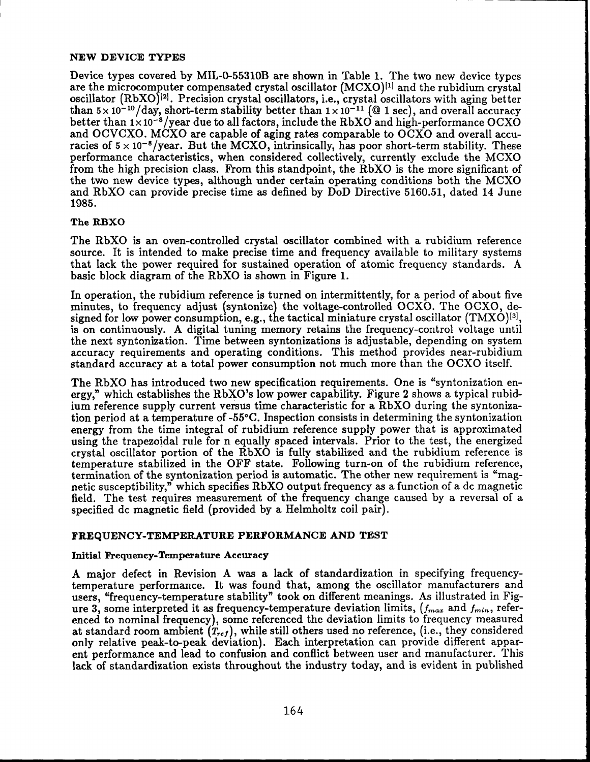## **NEW DEVICE TYPES**

Device types covered by MIL-0-55310B are shown in Table **1.** The two new device types are the microcomputer compensated crystal oscillator  $(MCXO)^{[1]}$  and the rubidium crystal oscillator  $(RbXO)^{[2]}$ . Precision crystal oscillators, i.e., crystal oscillators with aging better than  $5 \times 10^{-10}$ /day, short-term stability better than  $1 \times 10^{-11}$  (@ 1 sec), and overall accuracy better than  $1 \times 10^{-8}$ /year due to all factors, include the RbXO and high-performance OCXO and OCVCXO. MCXO are capable of aging rates comparable to OCXO and overall accuracies of  $5 \times 10^{-8}$ /year. But the MCXO, intrinsically, has poor short-term stability. These performance characteristics, when considered collectively, currently exclude the MCXO from the high precision class. From this standpoint, the RbXO is the more significant of the two new device types, although under certain operating conditions both the MCXO and RbXO can provide precise time **as** defined by DoD Directive 5160.51, dated 14 June 1985.

# **The RBXO**

The RbXO is an oven-controlled crystal oscillator combined with a rubidium reference source. It is intended to make precise time and frequency available to military systems that lack the power required for sustained operation of atomic frequency standards. **A**  basic block diagram of the RbXO is shown in Figure **1.** 

In operation, the rubidium reference is turned on intermittently, for a period of about five minutes, to frequency adjust (syntonize) the voltage-controlled OCXO. The OCXO, designed for low power consumption, e.g., the tactical miniature crystal oscillator  $(TMXO)^{3}$ , is on continuously. **A** digital tuning memory retains the frequency-control voltage until the next syntonization. Time between syntonizations is adjustable, depending on system accuracy requirements and operating conditions. This method provides near-rubidium standard accuracy at a total power consumption not much more than the OCXO itself.

The RbXO has introduced two new specification requirements. One is "syntonization energy," which establishes the RbXO's low power capability. Figure **2** shows a typical rubidium reference supply current versus time characteristic for a RbXO during the syntonization period at a temperature of -55°C. Inspection consists in determining the syntonization energy from the time integral of rubidium reference supply power that is approximated using the trapezoidal rule for n equally spaced intervals. Prior to the test, the energized crystal oscillator portion of the RbXO is fully stabilized and the rubidium reference is temperature stabilized in the OFF state. Following turn-on of the rubidium reference, termination of the syntonization period is automatic. The other new requirement is "magnetic susceptibility," which specifies RbXO output frequency as a function of a dc magnetic field. The test requires measurement of the frequency change caused by a reversal of a specified dc magnetic field (provided by a Helmholtz coil pair).

# **FREQUENCY-TEMPERATURE PERFORMANCE AND TEST**

## **Initial Frequency-Temperature Accuracy**

**A** major defect in Revision **A** was a lack of standardization in specifying frequencytemperature performance. It was found that, among the oscillator manufacturers and users, "frequency-temperature stability" took on different meanings. As illustrated in Figure 3, some interpreted it as frequency-temperature deviation limits,  $(f_{max}$  and  $f_{min}$ , referenced to nominal frequency), some referenced the deviation limits to frequency measured at standard room ambient  $(T_{ref})$ , while still others used no reference, (i.e., they considered only relative peak-to-peak deviation). Each interpretation can provide different apparent performance and lead to confusion and conflict between user and manufacturer. This lack of standardization exists throughout the industry today, and is evident in published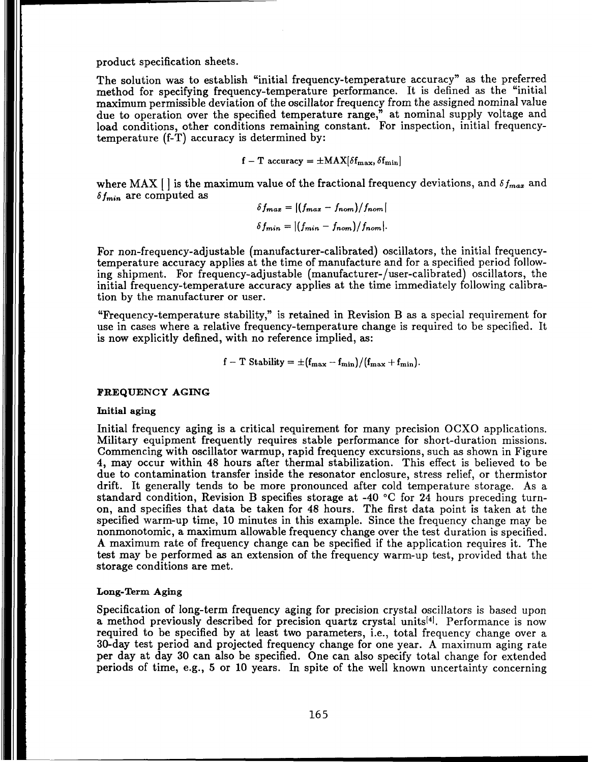product specification sheets.

The solution was to establish "initial frequency-temperature accuracy" as the preferred method for specifying frequency-temperature performance. It is defined as the "initial maximum permissible deviation of the oscillator frequency from the assigned nominal value due to operation over the specified temperature range," at nominal supply voltage and load conditions, other conditions remaining constant. For inspection, initial frequencytemperature (f-T) accuracy is determined by:

 $f - T$  accuracy =  $\pm$ MAX $\delta f_{\text{max}}$ ,  $\delta f_{\text{min}}$ 

where MAX  $\vert \cdot \vert$  is the maximum value of the fractional frequency deviations, and  $\delta f_{max}$  and  $\delta f_{min}$  are computed as

 $\delta f_{max} = |(f_{max} - f_{nom})/f_{nom}|$  $\delta f_{min} = |(f_{min} - f_{nom})/f_{nom}|.$ 

For non-frequency-adjustable (manufacturer-calibrated) oscillators, the initial frequencytemperature accuracy applies at the time of manufacture and for a specified period following shipment. For frequency-adjustable (manufacturer-/user-calibrated) oscillators, the initial frequency-temperature accuracy applies at the time immediately following calibration by the manufacturer or user.

"Frequency-temperature stability," is retained in Revision B as a special requirement for use in cases where a relative frequency-temperature change is required to be specified. It is now explicitly defined, with no reference implied, as:

$$
f-T Stability = \pm (f_{\max} - f_{\min})/(f_{\max} + f_{\min}).
$$

### **FREQUENCY AGING**

#### **Initial aging**

Initial frequency aging is a critical requirement for many precision OCXO applications. Military equipment frequently requires stable performance for short-duration missions. Commencing with oscillator warmup, rapid frequency excursions, such as shown in Figure 4, may occur within 48 hours after thermal stabilization. This effect is believed to be due to contamination transfer inside the resonator enclosure, stress relief, or thermistor drift. It generally tends to be more pronounced after cold temperature storage. As a standard condition, Revision B specifies storage at -40 *"C* for 24 hours preceding turnon, and specifies that data be taken for 48 hours. The first data point is taken at the specified warm-up time, 10 minutes in this example. Since the frequency change may be nonmonotomic, a maximum allowable frequency change over the test duration is specified. **A** maximum rate of frequency change can be specified if the application requires it. The test may be performed as an extension of the frequency warm-up test, provided that the storage conditions are met.

#### **Long-Term Aging**

Specification of long-term frequency aging for precision crystal oscillators is based upon a method previously described for precision quartz crystal units<sup>[4]</sup>. Performance is now required to be specified by at least two parameters, i.e., total frequency change over a 30-day test period and projected frequency change for one year. A maximum aging rate per day at day 30 can also be specified. One can also specify total change for extended periods of time, e.g., 5 or 10 years. In spite of the well known uncertainty concerning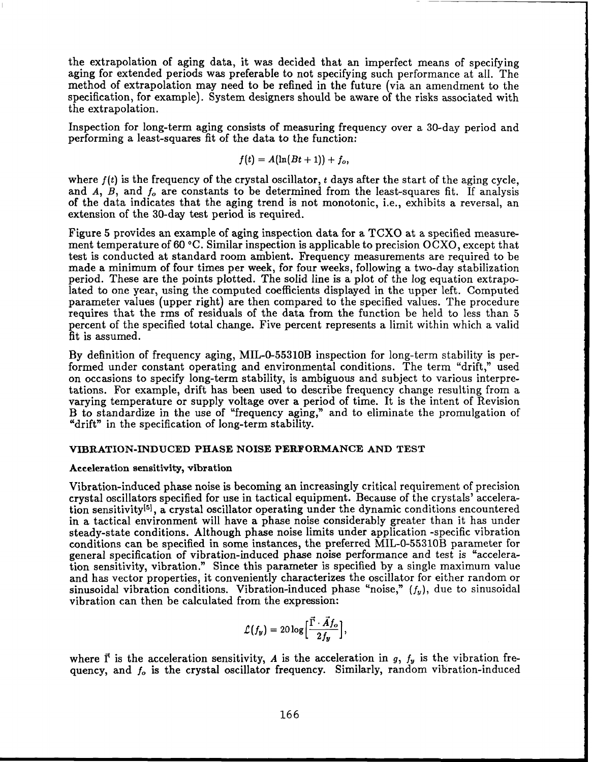the extrapolation of aging data, it was decided that an imperfect means of specifying aging for extended periods was preferable to not specifying such performance at all. The method of extrapolation may need to be refined in the future (via an amendment to the specification, for example). System designers should be aware of the risks associated with the extrapolation.

Inspection for long-term aging consists of measuring frequency over a 30-day period and performing a least-squares fit of the data to the function:

$$
f(t) = A(\ln(Bt+1)) + f_o,
$$

where  $f(t)$  is the frequency of the crystal oscillator,  $t$  days after the start of the aging cycle, and *A, B,* and *f,* are constants to be determined from the least-squares fit. If analysis of the data indicates that the aging trend is not monotonic, i.e., exhibits a reversal, an extension of the 30-day test period is required.

Figure 5 provides an example of aging inspection data for a TCXO at a specified measurement temperature of 60 **"C.** Similar inspection is applicable to precision OCXO, except that test is conducted at standard room ambient. Frequency measurements are required to be made a minimum of four times per week, for four weeks, following a two-day stabilization period. These are the points plotted. The solid line is a plot of the log equation extrapolated to one year, using the computed coefficients displayed in the upper left. Computed parameter values (upper right) are then compared to the specified values. The procedure requires that the rms of residuals of the data from the function be held to less than 5 percent of the specified total change. Five percent represents a limit within which a valid fit is assumed.

By definition of frequency aging, MIL-0-55310B inspection for long-term stability is performed under constant operating and environmental conditions. The term "drift," used on occasions to specify long-term stability, is ambiguous and subject to various interpretations. For example, drift has been used to describe frequency change resulting from a varying temperature or supply voltage over a period of time. It is the intent of Revision B to standardize in the use of "frequency aging," and to eliminate the promulgation of "drift" in the specification of long-term stability.

## **VIBRATION-INDUCED PHASE NOISE PERFORMANCE AND TEST**

#### Acceleration sensitivity, vibration

Vibration-induced phase noise is becoming an increasingly critical requirement of precision crystal oscillators specified for use in tactical equipment. Because of the crystals' acceleration sensitivity<sup>[5]</sup>, a crystal oscillator operating under the dynamic conditions encountered in a tactical environment will have a phase noise considerably greater than it has under steady-state conditions. Although phase noise limits under application -specific vibration conditions can be specified in some instances, the preferred MIL-0-55310B parameter for general specification of vibration-induced phase noise performance and test is "acceleration sensitivity, vibration." Since this parameter is specified by a single maximum value and has vector properties, it conveniently characterizes the oscillator for either random or sinusoidal vibration conditions. Vibration-induced phase "noise,"  $(f_y)$ , due to sinusoidal vibration can then be calculated from the expression:

$$
\mathcal{L}(f_y)=20\log\Bigl[\frac{\vec{\Gamma}\cdot\vec{A}f_o}{2f_y}\Bigr],
$$

where  $\vec{\Gamma}$  is the acceleration sensitivity, *A* is the acceleration in *g*,  $f_y$  is the vibration frequency, and *fo* is the crystal oscillator frequency. Similarly, random vibration-induced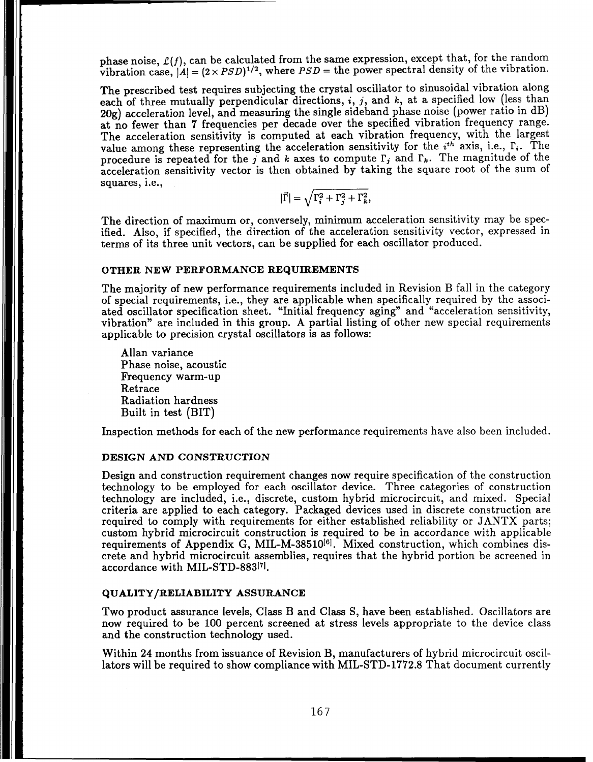phase noise,  $\mathcal{L}(f)$ , can be calculated from the same expression, except that, for the random vibration case,  $|A| = (2 \times PSD)^{1/2}$ , where  $PSD =$  the power spectral density of the vibration.

The prescribed test requires subjecting the crystal oscillator to sinusoidal vibration along each of three mutually perpendicular directions, *i*, *j*, and *k*, at a specified low (less than 20g) acceleration level, and measuring the single sideband phase noise (power ratio in dB) at no fewer than 7 frequencies per decade over the specified vibration frequency range. The acceleration sensitivity is computed at each vibration frequency, with the largest value among these representing the acceleration sensitivity for the *i*<sup>th</sup> axis, i.e.,  $\Gamma_i$ . The procedure is repeated for the  $j$  and  $k$  axes to compute  $\Gamma_j$  and  $\Gamma_k$ . The magnitude of the acceleration sensitivity vector is then obtained by taking the square root of the sum of squares, i.e., acceleration sensitivity for the  $k$  axes to compute  $\Gamma_j$  and  $\Gamma_k$ .<br>
en obtained by taking the squ<br>  $|\vec{\Gamma}| = \sqrt{\Gamma_i^2 + \Gamma_j^2 + \Gamma_k^2}$ ,

$$
|\vec{\Gamma}| = \sqrt{\Gamma_i^2 + \Gamma_j^2 + \Gamma_k^2},
$$

The direction of maximum or, conversely, minimum acceleration sensitivity may be specified. Also, if specified, the direction of the acceleration sensitivity vector, expressed in terms of its three unit vectors, can be supplied for each oscillator produced.

#### **OTHER NEW PERFORMANCE REQUIREMENTS**

The majority of new performance requirements included in Revision B fall in the category of special requirements, i.e., they are applicable when specifically required by the associated oscillator specification sheet. "Initial frequency aging" and "acceleration sensitivity, vibration" are included in this group. A partial listing of other new special requirements applicable to precision crystal oscillators is as follows:

Allan variance Phase noise, acoustic Frequency warm-up Retrace Radiation hardness Built in test (BIT)

Inspection methods for each of the new performance requirements have also been included.

## **DESIGN AND CONSTRUCTION**

Design and construction requirement changes now require specification of the construction technology to be employed for each oscillator device. Three categories of construction technology are included, i.e., discrete, custom hybrid microcircuit, and mixed. Special criteria are applied to each category. Packaged devices used in discrete construction are required to comply with requirements for either established reliability or JANTX parts; custom hybrid microcircuit construction is required to be in accordance with applicable requirements of Appendix G, MIL-M-38510<sup>[6]</sup>. Mixed construction, which combines discrete and hybrid microcircuit assemblies, requires that the hybrid portion be screened in accordance with MIL-STD-8831'1.

# **QUALITY /RELIABILITY ASSURANCE**

Two product assurance levels, Class B and Class S, have been established. Oscillators are now required to be 100 percent screened at stress levels appropriate to the device class and the construction technology used.

Within 24 months from issuance of Revision B, manufacturers of hybrid microcircuit oscillators will be required to show compliance with MIL-STD-1772.8 That document currently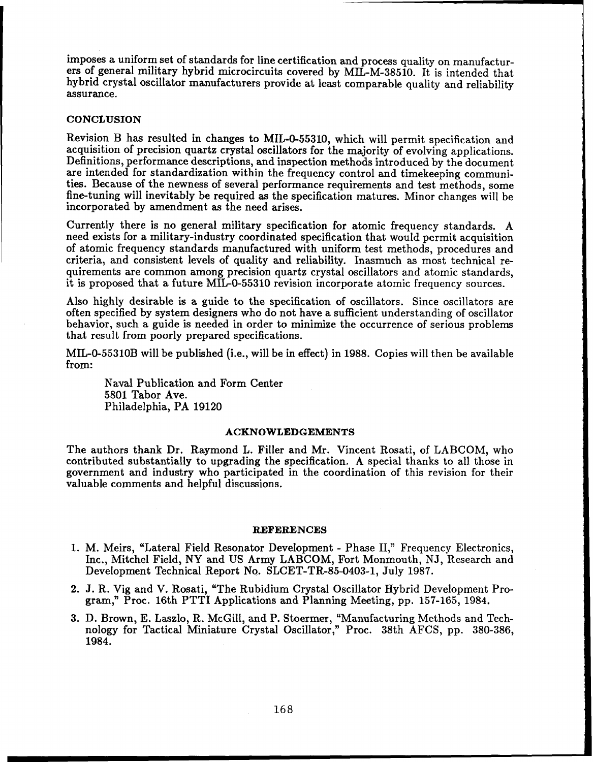imposes a uniform set of standards for line certification and process quality on manufacturers of general military hybrid microcircuits covered by MIL-M-38510. It is intended that hybrid crystal oscillator manufacturers provide at least comparable quality and reliability assurance.

## **CONCLUSION**

Revision B has resulted in changes to MIL-0-55310, which will permit specification and acquisition of precision quartz crystal oscillators for the majority of evolving applications. Definitions, performance descriptions, and inspection methods introduced by the document are intended for standardization within the frequency control and timekeeping communities. Because of the newness of several performance requirements and test methods, some fine-tuning will inevitably be required as the specification matures. Minor changes will be incorporated by amendment as the need arises.

Currently there is no general military specification for atomic frequency standards. A need exists for a military-industry coordinated specification that would permit acquisition of atomic frequency standards manufactured with uniform test methods, procedures and criteria, and consistent levels of quality and reliability. Inasmuch as most technical requirements are common among precision quartz crystal oscillators and atomic standards, it is proposed that a future MIL-0-55310 revision incorporate atomic frequency sources.

Also highly desirable is a guide to the specification of oscillators. Since oscillators are often specified by system designers who do not have a sufficient understanding of oscillator behavior, such a guide is needed in order to minimize the occurrence of serious problems that result from poorly prepared specifications.

MIL-0-55310B will be published (i.e., will be in effect) in 1988. Copies will then be available from:

Naval Publication and Form Center 5801 Tabor Ave. Philadelphia, PA 19120

#### **ACKNOWLEDGEMENTS**

The authors thank Dr. Raymond L. Filler and Mr. Vincent Rosati, of LABCOM, who contributed substantially to upgrading the specification. A special thanks to all those in government and industry who participated in the coordination of this revision for their valuable comments and helpful discussions.

## **REFERENCES**

- 1. M. Meirs, "Lateral Field Resonator Development Phase 11," Frequency Electronics, Inc., Mitchel Field, NY and US Army LABCOM, Fort Monmouth, NJ, Research and Development Technical Report No. SLCET-TR-85-0403-1, July 1987.
- 2. J. R. Vig and V. Rosati, "The Rubidium Crystal Oscillator Hybrid Development Program," Proc. 16th PTTI Applications and Planning Meeting, pp. 157-165, 1984.
- 3. D. Brown, E. Laszlo, R. McGill, and P. Stoermer, "Manufacturing Methods and Technology for Tactical Miniature Crystal Oscillator," Proc. 38th AFCS, pp. 380-386, 1984.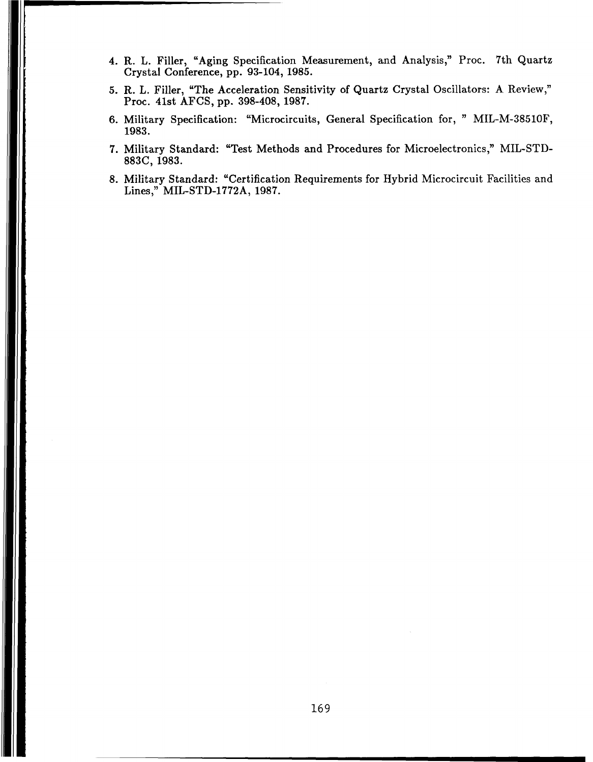- 4. R. L. Filler, "Aging Specification Measurement, and Analysis," Proc. 7th Quartz Crystal Conference, pp. 93-104, 1985.
- 5. R. L. Filler, "The Acceleration Sensitivity of Quartz Crystal Oscillators: A Review," Proc. 41st AFCS, pp. 398-408, 1987.
- 6. Military Specification: "Microcircuits, General Specification for, " MIL-M-38510F, 1983.
- 7. Military Standard: "Test Methods and Procedures for Microelectronics," MIL-STD-883C, 1983.
- 8. Military Standard: "Certification Requirements for Hybrid Microcircuit Facilities and Lines," MIL-STD-1772A, 1987.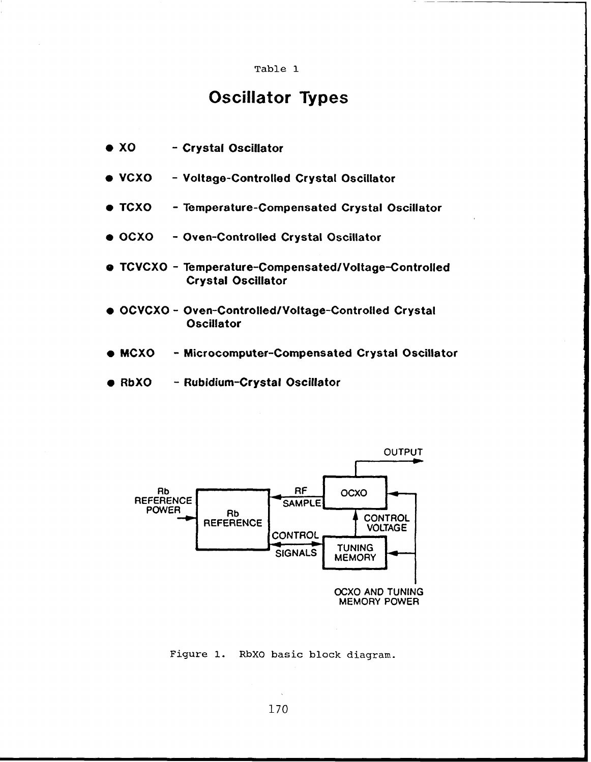#### Table 1

# **Oscillator Types**

| $\bullet$ XO |  |  |  | - Crystal Oscillator |
|--------------|--|--|--|----------------------|
|--------------|--|--|--|----------------------|

- $\bullet$  VCXO - Voltage-Controlled Crystal Oscillator
- $\bullet$  TCXO - Temperature-Compensated Crystal Oscillator
- $\bullet$  OCXO - Oven-Controlled Crystal Oscillator
- O TCVCXO Temperature-Compensated/Voltage-Controlled **Crystal Oscillator**
- . OCVCXO Oven-Controlled/Voltage-Controlled Crystal **Oscillator**
- $\bullet$  MCXO - Microcomputer-Compensated Crystal Oscillator
- $\bullet$  RbXO - Rubidium-Crystal Oscillator



# Figure 1. RbXO basic block diagram.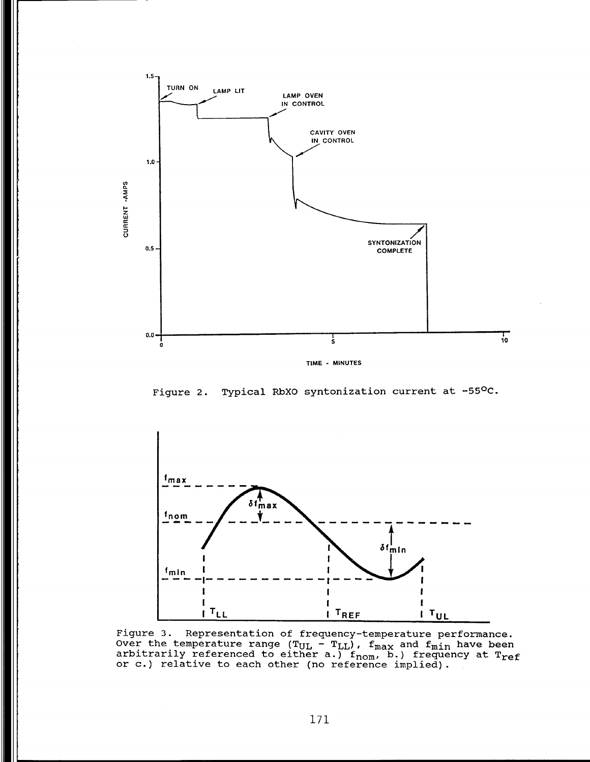

Figure 2. Typical RbXO syntonization current at -55<sup>o</sup>C.

![](_page_9_Figure_2.jpeg)

Figure 3. Representation of frequency-temperature performance.<br>Over the temperature range (T<sub>UL</sub> - T<sub>LL</sub>), f<sub>max</sub> and f<sub>min</sub> have been **arbitrarily referenced to either a.) fnom, b.) frequency at Tref or c.) relative to each other (no reference implied).**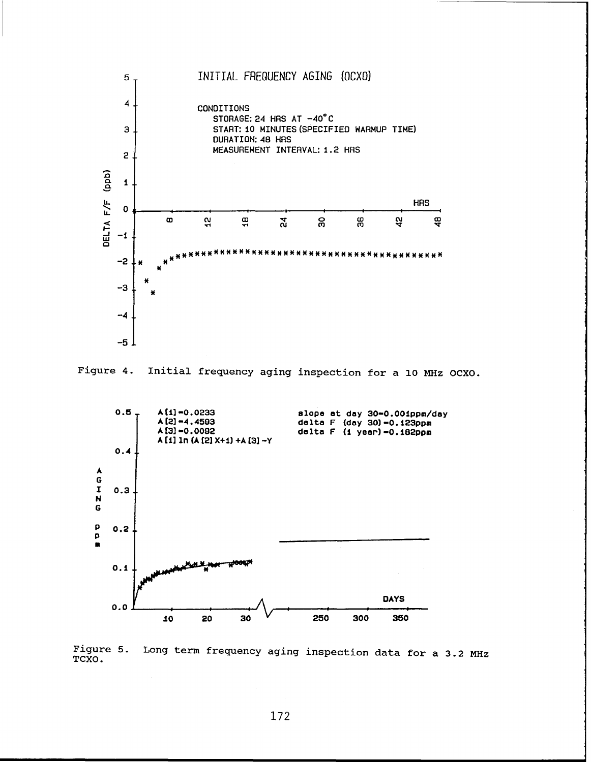![](_page_10_Figure_0.jpeg)

![](_page_10_Figure_1.jpeg)

![](_page_10_Figure_2.jpeg)

Figure 5. Long term frequency aging inspection data for a 3.2 MHz TCXO.